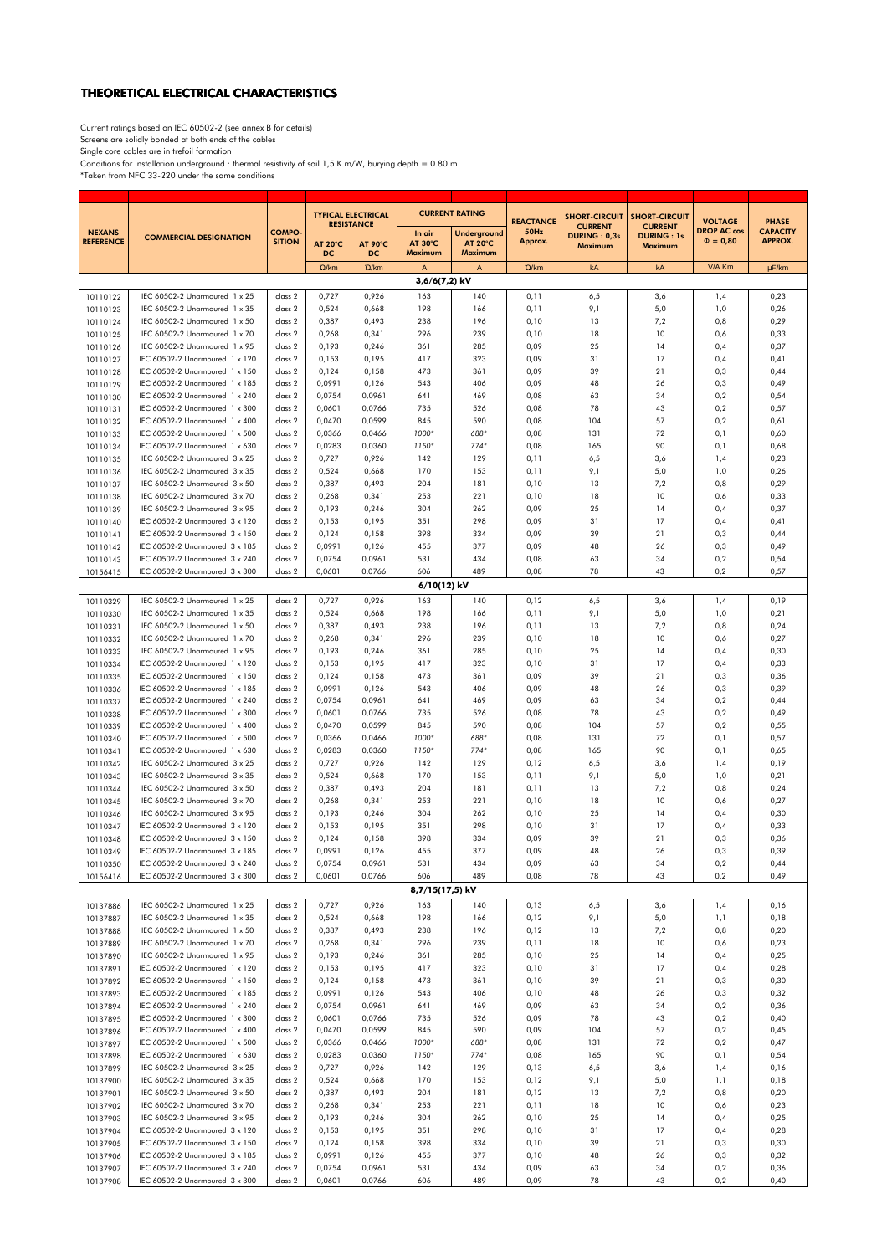## THEORETICAL ELECTRICAL CHARACTERISTICS

Current ratings based on IEC 60502-2 (see annex B for details)<br>Screens are solidly bonded at both ends of the cables<br>Single core cables are in trefoil formation<br>Conditions for installation underground : thermal resistivity

| <b>NEXANS</b><br><b>REFERENCE</b> | <b>COMMERCIAL DESIGNATION</b>                                    | <b>COMPO</b><br><b>SITION</b> | <b>TYPICAL ELECTRICAL</b><br><b>RESISTANCE</b>             |                  | <b>CURRENT RATING</b>               |                                                 | <b>REACTANCE</b> | <b>SHORT-CIRCUIT</b>                      | <b>SHORT-CIRCUIT</b>                           | <b>VOLTAGE</b>                      | <b>PHASE</b>                      |
|-----------------------------------|------------------------------------------------------------------|-------------------------------|------------------------------------------------------------|------------------|-------------------------------------|-------------------------------------------------|------------------|-------------------------------------------|------------------------------------------------|-------------------------------------|-----------------------------------|
|                                   |                                                                  |                               | <b>AT 20°C</b><br><b>AT 90°C</b><br><b>DC</b><br><b>DC</b> |                  | In air<br><b>AT 30°C</b><br>Maximum | <b>Underground</b><br><b>AT 20°C</b><br>Maximum | 50Hz<br>Approx.  | <b>CURRENT</b><br>DURING: 0,3s<br>Maximum | <b>CURRENT</b><br><b>DURING: 1s</b><br>Maximum | <b>DROP AC cos</b><br>$\Phi = 0,80$ | <b>CAPACITY</b><br><b>APPROX.</b> |
|                                   |                                                                  |                               | $\Omega/km$                                                | $\Omega/km$      | A                                   | A                                               | $\Omega$ /km     | kA                                        | kA                                             | V/A.Km                              | µF/km                             |
| 3,6/6(7,2) kV                     |                                                                  |                               |                                                            |                  |                                     |                                                 |                  |                                           |                                                |                                     |                                   |
| 10110122<br>10110123              | IEC 60502-2 Unarmoured 1 x 25<br>IEC 60502-2 Unarmoured 1 x 35   | class 2<br>class 2            | 0,727<br>0,524                                             | 0,926<br>0,668   | 163<br>198                          | 140<br>166                                      | 0,11<br>0,11     | 6,5<br>9,1                                | 3,6<br>5,0                                     | 1,4<br>1,0                          | 0,23<br>0,26                      |
| 10110124                          | IEC 60502-2 Unarmoured 1 x 50                                    | class 2                       | 0,387                                                      | 0,493            | 238                                 | 196                                             | 0,10             | 13                                        | 7,2                                            | 0,8                                 | 0,29                              |
| 10110125                          | IEC 60502-2 Unarmoured 1 x 70                                    | class 2                       | 0,268                                                      | 0,341            | 296                                 | 239                                             | 0,10             | 18                                        | 10                                             | 0,6                                 | 0,33                              |
| 10110126                          | IEC 60502-2 Unarmoured 1 x 95                                    | class 2                       | 0,193                                                      | 0,246            | 361                                 | 285                                             | 0,09             | 25                                        | 14                                             | 0,4                                 | 0,37                              |
| 10110127<br>10110128              | IEC 60502-2 Unarmoured 1 x 120<br>IEC 60502-2 Unarmoured 1 x 150 | class 2<br>class 2            | 0,153<br>0,124                                             | 0,195<br>0,158   | 417<br>473                          | 323<br>361                                      | 0,09<br>0,09     | 31<br>39                                  | 17<br>21                                       | 0,4<br>0,3                          | 0,41<br>0,44                      |
| 10110129                          | IEC 60502-2 Unarmoured 1 x 185                                   | class 2                       | 0,0991                                                     | 0,126            | 543                                 | 406                                             | 0,09             | 48                                        | 26                                             | 0,3                                 | 0,49                              |
| 10110130                          | IEC 60502-2 Unarmoured 1 x 240                                   | class 2                       | 0,0754                                                     | 0,0961           | 641                                 | 469                                             | 0,08             | 63                                        | 34                                             | 0,2                                 | 0,54                              |
| 10110131                          | IEC 60502-2 Unarmoured 1 x 300                                   | class 2                       | 0,0601                                                     | 0,0766           | 735                                 | 526                                             | 0,08             | 78                                        | 43                                             | 0,2                                 | 0,57                              |
| 10110132<br>10110133              | IEC 60502-2 Unarmoured 1 x 400<br>IEC 60502-2 Unarmoured 1 x 500 | class 2<br>class 2            | 0,0470<br>0,0366                                           | 0,0599<br>0,0466 | 845<br>1000*                        | 590<br>688*                                     | 0,08<br>0,08     | 104<br>131                                | 57<br>72                                       | 0,2<br>0,1                          | 0,61<br>0,60                      |
| 10110134                          | IEC 60502-2 Unarmoured 1 x 630                                   | class 2                       | 0,0283                                                     | 0,0360           | 1150*                               | $774*$                                          | 0,08             | 165                                       | 90                                             | 0,1                                 | 0,68                              |
| 10110135                          | IEC 60502-2 Unarmoured 3 x 25                                    | class 2                       | 0,727                                                      | 0,926            | 142                                 | 129                                             | 0,11             | 6,5                                       | 3,6                                            | 1,4                                 | 0,23                              |
| 10110136                          | IEC 60502-2 Unarmoured 3 x 35                                    | class 2                       | 0,524                                                      | 0,668            | 170                                 | 153                                             | 0,11             | 9,1                                       | 5,0                                            | 1,0                                 | 0,26                              |
| 10110137                          | IEC 60502-2 Unarmoured 3 x 50                                    | class 2                       | 0,387                                                      | 0,493            | 204                                 | 181                                             | 0,10             | 13                                        | 7,2                                            | 0,8                                 | 0,29                              |
| 10110138<br>10110139              | IEC 60502-2 Unarmoured 3 x 70<br>IEC 60502-2 Unarmoured 3 x 95   | class 2<br>class 2            | 0,268<br>0,193                                             | 0,341<br>0,246   | 253<br>304                          | 221<br>262                                      | 0,10<br>0,09     | 18<br>25                                  | 10<br>14                                       | 0,6<br>0,4                          | 0,33<br>0,37                      |
| 10110140                          | IEC 60502-2 Unarmoured 3 x 120                                   | class 2                       | 0,153                                                      | 0,195            | 351                                 | 298                                             | 0,09             | 31                                        | 17                                             | 0,4                                 | 0,41                              |
| 10110141                          | IEC 60502-2 Unarmoured 3 x 150                                   | class 2                       | 0,124                                                      | 0,158            | 398                                 | 334                                             | 0,09             | 39                                        | 21                                             | 0,3                                 | 0,44                              |
| 10110142                          | IEC 60502-2 Unarmoured 3 x 185                                   | class 2                       | 0,0991                                                     | 0,126            | 455                                 | 377                                             | 0,09             | 48                                        | 26                                             | 0,3                                 | 0,49                              |
| 10110143<br>10156415              | IEC 60502-2 Unarmoured 3 x 240<br>IEC 60502-2 Unarmoured 3 x 300 | class 2<br>class 2            | 0,0754<br>0,0601                                           | 0,0961<br>0,0766 | 531<br>606                          | 434<br>489                                      | 0,08<br>0,08     | 63<br>78                                  | 34<br>43                                       | 0,2<br>0,2                          | 0,54<br>0,57                      |
|                                   |                                                                  |                               |                                                            |                  | 6/10(12) kV                         |                                                 |                  |                                           |                                                |                                     |                                   |
| 10110329                          | IEC 60502-2 Unarmoured 1 x 25                                    | class 2                       | 0,727                                                      | 0,926            | 163                                 | 140                                             | 0,12             | 6,5                                       | 3,6                                            | 1,4                                 | 0,19                              |
| 10110330                          | IEC 60502-2 Unarmoured 1 x 35                                    | class 2                       | 0,524                                                      | 0,668            | 198                                 | 166                                             | 0,11             | 9,1                                       | 5,0                                            | 1,0                                 | 0,21                              |
| 10110331                          | IEC 60502-2 Unarmoured 1 x 50                                    | class 2                       | 0,387                                                      | 0,493            | 238                                 | 196                                             | 0,11             | 13                                        | 7,2                                            | 0,8                                 | 0,24                              |
| 10110332<br>10110333              | IEC 60502-2 Unarmoured 1 x 70<br>IEC 60502-2 Unarmoured 1 x 95   | class 2<br>class 2            | 0,268<br>0,193                                             | 0,341<br>0,246   | 296<br>361                          | 239<br>285                                      | 0,10<br>0,10     | 18<br>25                                  | 10<br>14                                       | 0,6<br>0,4                          | 0,27<br>0,30                      |
| 10110334                          | IEC 60502-2 Unarmoured 1 x 120                                   | class 2                       | 0,153                                                      | 0,195            | 417                                 | 323                                             | 0,10             | 31                                        | 17                                             | 0,4                                 | 0,33                              |
| 10110335                          | IEC 60502-2 Unarmoured 1 x 150                                   | class 2                       | 0,124                                                      | 0,158            | 473                                 | 361                                             | 0,09             | 39                                        | 21                                             | 0,3                                 | 0,36                              |
| 10110336                          | IEC 60502-2 Unarmoured 1 x 185                                   | class 2                       | 0,0991                                                     | 0,126            | 543                                 | 406                                             | 0,09             | 48                                        | 26                                             | 0,3                                 | 0,39                              |
| 10110337                          | IEC 60502-2 Unarmoured 1 x 240<br>IEC 60502-2 Unarmoured 1 x 300 | class 2                       | 0,0754<br>0,0601                                           | 0,0961<br>0,0766 | 641<br>735                          | 469<br>526                                      | 0,09<br>0,08     | 63<br>78                                  | 34<br>43                                       | 0,2                                 | 0,44<br>0,49                      |
| 10110338<br>10110339              | IEC 60502-2 Unarmoured 1 x 400                                   | class 2<br>class 2            | 0,0470                                                     | 0,0599           | 845                                 | 590                                             | 0,08             | 104                                       | 57                                             | 0,2<br>0,2                          | 0,55                              |
| 10110340                          | IEC 60502-2 Unarmoured 1 x 500                                   | class 2                       | 0,0366                                                     | 0,0466           | 1000*                               | 688*                                            | 0,08             | 131                                       | 72                                             | 0,1                                 | 0,57                              |
| 10110341                          | IEC 60502-2 Unarmoured 1 x 630                                   | class 2                       | 0,0283                                                     | 0,0360           | 1150*                               | $774*$                                          | 0,08             | 165                                       | 90                                             | 0,1                                 | 0,65                              |
| 10110342                          | IEC 60502-2 Unarmoured 3 x 25                                    | class 2                       | 0,727                                                      | 0,926            | 142                                 | 129                                             | 0,12             | 6,5                                       | 3,6                                            | 1,4                                 | 0,19                              |
| 10110343<br>10110344              | IEC 60502-2 Unarmoured 3 x 35<br>IEC 60502-2 Unarmoured 3 x 50   | class 2<br>class 2            | 0,524<br>0,387                                             | 0,668<br>0,493   | 170<br>204                          | 153<br>181                                      | 0,11<br>0,11     | 9,1<br>13                                 | 5,0<br>7,2                                     | 1,0<br>0,8                          | 0,21<br>0,24                      |
| 10110345                          | IEC 60502-2 Unarmoured 3 x 70                                    | class 2                       | 0,268                                                      | 0,341            | 253                                 | 221                                             | 0,10             | 18                                        | 10                                             | 0,6                                 | 0,27                              |
| 10110346                          | IEC 60502-2 Unarmoured 3 x 95                                    | class 2                       | 0,193                                                      | 0,246            | 304                                 | 262                                             | 0,10             | 25                                        | 14                                             | 0,4                                 | 0,30                              |
| 10110347                          | IEC 60502-2 Unarmoured 3 x 120                                   | class 2                       | 0,153                                                      | 0,195            | 351                                 | 298                                             | 0,10             | 31                                        | 17                                             | 0,4                                 | 0,33                              |
| 10110348                          | IEC 60502-2 Unarmoured 3 x 150<br>IEC 60502-2 Unarmoured 3 x 185 | class 2<br>class 2            | 0,124<br>0,0991                                            | 0,158<br>0,126   | 398<br>455                          | 334<br>377                                      | 0,09<br>0,09     | 39<br>48                                  | 21<br>26                                       | 0,3<br>0,3                          | 0,36<br>0,39                      |
| 10110349<br>10110350              | IEC 60502-2 Unarmoured 3 x 240                                   | class <sub>2</sub>            | 0,0754                                                     | 0,0961           | 531                                 | 434                                             | 0,09             | 63                                        | 34                                             | $_{0,2}$                            | 0,44                              |
| 10156416                          | IEC 60502-2 Unarmoured 3 x 300                                   | class 2                       | 0,0601                                                     | 0,0766           | 606                                 | 489                                             | 0,08             | 78                                        | 43                                             | 0,2                                 | 0,49                              |
| 8,7/15(17,5) kV                   |                                                                  |                               |                                                            |                  |                                     |                                                 |                  |                                           |                                                |                                     |                                   |
| 10137886                          | IEC 60502-2 Unarmoured 1 x 25                                    | class 2                       | 0,727                                                      | 0,926            | 163                                 | 140                                             | 0,13             | 6,5                                       | 3,6                                            | 1,4                                 | 0,16                              |
| 10137887                          | IEC 60502-2 Unarmoured 1 x 35<br>IEC 60502-2 Unarmoured 1 x 50   | class 2<br>class 2            | 0,524<br>0,387                                             | 0,668<br>0,493   | 198<br>238                          | 166<br>196                                      | 0,12<br>0,12     | 9,1<br>13                                 | 5,0<br>7,2                                     | 1,1<br>0,8                          | 0,18<br>0,20                      |
| 10137888<br>10137889              | IEC 60502-2 Unarmoured 1 x 70                                    | class 2                       | 0,268                                                      | 0,341            | 296                                 | 239                                             | 0,11             | 18                                        | 10                                             | 0,6                                 | 0,23                              |
| 10137890                          | IEC 60502-2 Unarmoured 1 x 95                                    | class 2                       | 0,193                                                      | 0,246            | 361                                 | 285                                             | 0,10             | 25                                        | 14                                             | 0,4                                 | 0,25                              |
| 10137891                          | IEC 60502-2 Unarmoured 1 x 120                                   | class 2                       | 0,153                                                      | 0,195            | 417                                 | 323                                             | 0,10             | 31                                        | 17                                             | 0,4                                 | 0,28                              |
| 10137892                          | IEC 60502-2 Unarmoured 1 x 150                                   | class 2                       | 0,124                                                      | 0,158            | 473                                 | 361                                             | 0,10             | 39                                        | 21                                             | 0,3                                 | 0,30                              |
| 10137893<br>10137894              | IEC 60502-2 Unarmoured 1 x 185<br>IEC 60502-2 Unarmoured 1 x 240 | class 2<br>class 2            | 0,0991<br>0,0754                                           | 0,126<br>0,0961  | 543<br>641                          | 406<br>469                                      | 0,10<br>0,09     | 48<br>63                                  | 26<br>34                                       | 0,3<br>0,2                          | 0,32<br>0,36                      |
| 10137895                          | IEC 60502-2 Unarmoured 1 x 300                                   | class 2                       | 0,0601                                                     | 0,0766           | 735                                 | 526                                             | 0,09             | 78                                        | 43                                             | 0,2                                 | 0,40                              |
| 10137896                          | IEC 60502-2 Unarmoured 1 x 400                                   | class 2                       | 0,0470                                                     | 0,0599           | 845                                 | 590                                             | 0,09             | 104                                       | 57                                             | 0,2                                 | 0,45                              |
| 10137897                          | IEC 60502-2 Unarmoured 1 x 500                                   | class 2                       | 0,0366                                                     | 0,0466           | 1000*                               | 688*                                            | 0,08             | 131                                       | 72                                             | 0,2                                 | 0,47                              |
| 10137898<br>10137899              | IEC 60502-2 Unarmoured 1 x 630<br>IEC 60502-2 Unarmoured 3 x 25  | class 2<br>class 2            | 0,0283<br>0,727                                            | 0,0360<br>0,926  | 1150*<br>142                        | $774*$<br>129                                   | 0,08<br>0,13     | 165<br>6,5                                | 90<br>3,6                                      | 0,1<br>1,4                          | 0,54<br>0,16                      |
| 10137900                          | IEC 60502-2 Unarmoured 3 x 35                                    | class 2                       | 0,524                                                      | 0,668            | 170                                 | 153                                             | 0,12             | 9,1                                       | 5,0                                            | 1,1                                 | 0,18                              |
| 10137901                          | IEC 60502-2 Unarmoured 3 x 50                                    | class 2                       | 0,387                                                      | 0,493            | 204                                 | 181                                             | 0,12             | 13                                        | 7,2                                            | 0,8                                 | 0,20                              |
| 10137902                          | IEC 60502-2 Unarmoured 3 x 70                                    | class 2                       | 0,268                                                      | 0,341            | 253                                 | 221                                             | 0,11             | 18                                        | 10                                             | 0,6                                 | 0,23                              |
| 10137903                          | IEC 60502-2 Unarmoured 3 x 95                                    | class 2                       | 0,193                                                      | 0,246            | 304                                 | 262                                             | 0,10             | 25                                        | 14                                             | 0,4                                 | 0,25                              |
| 10137904<br>10137905              | IEC 60502-2 Unarmoured 3 x 120<br>IEC 60502-2 Unarmoured 3 x 150 | class 2<br>class 2            | 0,153<br>0,124                                             | 0,195<br>0,158   | 351<br>398                          | 298<br>334                                      | 0,10<br>0,10     | 31<br>39                                  | 17<br>21                                       | 0,4<br>0,3                          | 0,28<br>0,30                      |
| 10137906                          | IEC 60502-2 Unarmoured 3 x 185                                   | class 2                       | 0,0991                                                     | 0,126            | 455                                 | 377                                             | 0,10             | 48                                        | 26                                             | 0,3                                 | 0,32                              |
| 10137907                          | IEC 60502-2 Unarmoured 3 x 240                                   | class 2                       | 0,0754                                                     | 0,0961           | 531                                 | 434                                             | 0,09             | 63                                        | 34                                             | 0,2                                 | 0,36                              |
| 10137908                          | IEC 60502-2 Unarmoured 3 x 300                                   | class 2                       | 0,0601                                                     | 0,0766           | 606                                 | 489                                             | 0,09             | 78                                        | 43                                             | 0,2                                 | 0,40                              |